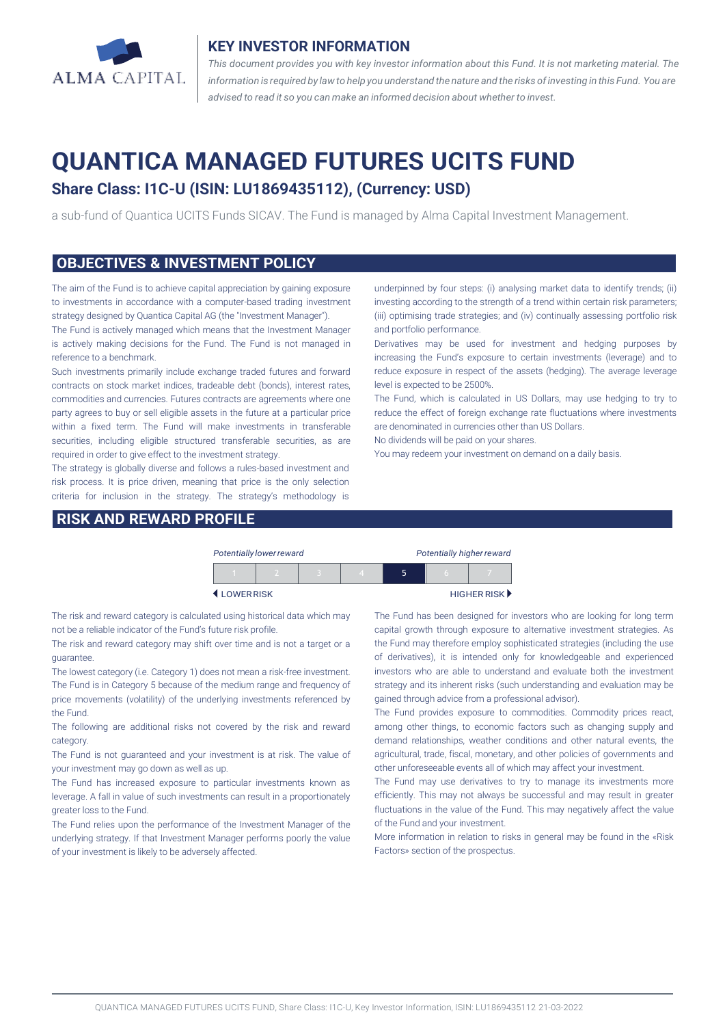

#### **KEY INVESTOR INFORMATION**

*This document provides you with key investor information about this Fund. It is not marketing material. The* information is required by law to help you understand the nature and the risks of investing in this Fund. You are *advised to read it so you can make an informed decision about whether to invest.*

# **QUANTICA MANAGED FUTURES UCITS FUND**

## **Share Class: I1C-U (ISIN: LU1869435112), (Currency: USD)**

a sub-fund of Quantica UCITS Funds SICAV. The Fund is managed by Alma Capital Investment Management.

#### **OBJECTIVES & INVESTMENT POLICY**

The aim of the Fund is to achieve capital appreciation by gaining exposure to investments in accordance with a computer-based trading investment strategy designed by Quantica Capital AG (the "Investment Manager").

The Fund is actively managed which means that the Investment Manager is actively making decisions for the Fund. The Fund is not managed in reference to a benchmark.

Such investments primarily include exchange traded futures and forward contracts on stock market indices, tradeable debt (bonds), interest rates, commodities and currencies. Futures contracts are agreements where one party agrees to buy or sell eligible assets in the future at a particular price within a fixed term. The Fund will make investments in transferable securities, including eligible structured transferable securities, as are required in order to give effect to the investment strategy.

The strategy is globally diverse and follows a rules-based investment and risk process. It is price driven, meaning that price is the only selection criteria for inclusion in the strategy. The strategy's methodology is

#### **RISK AND REWARD PROFILE**

underpinned by four steps: (i) analysing market data to identify trends; (ii) investing according to the strength of a trend within certain risk parameters; (iii) optimising trade strategies; and (iv) continually assessing portfolio risk and portfolio performance.

Derivatives may be used for investment and hedging purposes by increasing the Fund's exposure to certain investments (leverage) and to reduce exposure in respect of the assets (hedging). The average leverage level is expected to be 2500%.

The Fund, which is calculated in US Dollars, may use hedging to try to reduce the effect of foreign exchange rate fluctuations where investments are denominated in currencies other than US Dollars.

No dividends will be paid on your shares.

You may redeem your investment on demand on a daily basis.

|           | Potentially lower reward |  |  | Potentially higher reward |  |            |                                   |
|-----------|--------------------------|--|--|---------------------------|--|------------|-----------------------------------|
|           |                          |  |  |                           |  | $\sqrt{2}$ |                                   |
| LOWERRISK |                          |  |  |                           |  |            | HIGHER RISK $\blacktriangleright$ |

The risk and reward category is calculated using historical data which may not be a reliable indicator of the Fund's future risk profile.

The risk and reward category may shift over time and is not a target or a guarantee.

The lowest category (i.e. Category 1) does not mean a risk-free investment. The Fund is in Category 5 because of the medium range and frequency of price movements (volatility) of the underlying investments referenced by the Fund.

The following are additional risks not covered by the risk and reward category.

The Fund is not guaranteed and your investment is at risk. The value of your investment may go down as well as up.

The Fund has increased exposure to particular investments known as leverage. A fall in value of such investments can result in a proportionately greater loss to the Fund.

The Fund relies upon the performance of the Investment Manager of the underlying strategy. If that Investment Manager performs poorly the value of your investment is likely to be adversely affected.

The Fund has been designed for investors who are looking for long term capital growth through exposure to alternative investment strategies. As the Fund may therefore employ sophisticated strategies (including the use of derivatives), it is intended only for knowledgeable and experienced investors who are able to understand and evaluate both the investment strategy and its inherent risks (such understanding and evaluation may be gained through advice from a professional advisor).

The Fund provides exposure to commodities. Commodity prices react, among other things, to economic factors such as changing supply and demand relationships, weather conditions and other natural events, the agricultural, trade, fiscal, monetary, and other policies of governments and other unforeseeable events all of which may affect your investment.

The Fund may use derivatives to try to manage its investments more efficiently. This may not always be successful and may result in greater fluctuations in the value of the Fund. This may negatively affect the value of the Fund and your investment.

More information in relation to risks in general may be found in the «Risk Factors» section of the prospectus.